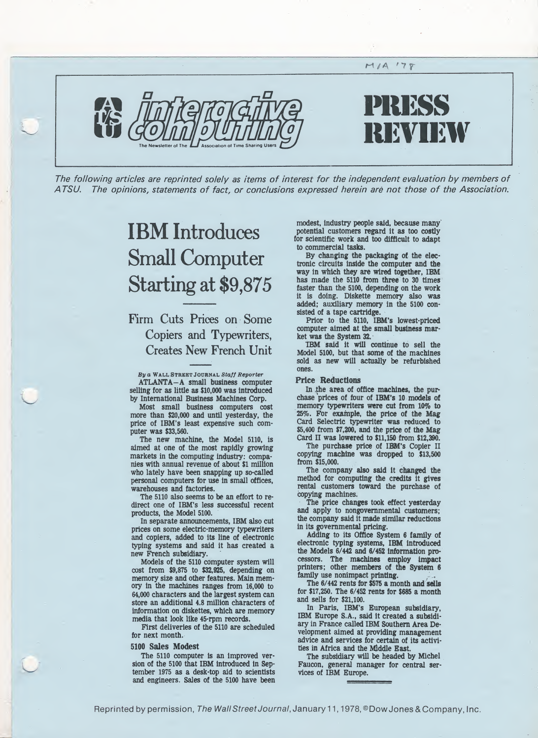

The following articles are reprinted solely as items of interest for the independent evaluation by members of A TSU. The opinions, statements of fact, or conclusions expressed herein are not those of the Association.

# IBM Introduces Small Computer Starting at \$9,875

Firm Cuts Prices on Some Copiers and Typewriters, Creates New French Unit

By a WALL STREET JOURNAL Staff Reporter ATLANTA-A small business computer selling for as little as \$10,000 was introduced by International Business Machines Corp.

Most small business computers cost more than \$20,000 and until yesterday, the price of IBM's least expensive such computer was \$33,560.

The new machine, the Model 5110, is aimed at one of the most rapidly growing markets in the computing industry: companies with annual revenue of about \$1 million who lately have been snapping up so-called personal computers for use in small offices, warehouses and factories.

The 5110 also seems to be an effort to redirect one of IBM's less successful recent products, the Model 5100.

In separate announcements, IBM also cut prices on some electric-memory typewriters and copiers, added to its line of electronic typing systems and said it has created a new French subsidiary.

Models of the 5110 computer system will cost from \$9,875 to \$32,925, depending on memory size and other features. Main mem ory in the machines ranges from 16,000 to 64,000 characters and the largest system can store an additional 4.8 million characters of information on diskettes, which are memory media that look like 45-rpm records.

First deliveries of the 5110 are scheduled for next month.

# 5100 Sales Modest

The 5110 computer is an improved version of the 5100 that IBM introduced in September 1975 as a desk-top aid to scientists and engineers. Sales of the 5100 have been

modest, industry people said, because many potential customers regard it as too costly for scientific work and too difficult to adapt to commercial tasks.

By changing the packaging of the electronic circuits inside the computer and the way in which they are wired together, IBM has made the 5110 from three to 30 times faster than the 5100, depending on the work it is doing. Diskette memory also was added; auxiliary memory in the 5100 consisted of a tape cartridge.

Prior to the 5J10, IBM's lowest-priced computer aimed at the small business market was the System 32.

IBM said it will continue to sell the Model 5100, but that some of the machines sold as new will actually be refurbished ones.

# Price Reductions

In the area of office machines, the purchase prices of four of IBM's 10 models of memory typewriters were cut from 10% to 25%. For example, the price of the Mag Card Selectric typewriter was reduced to \$5,400 from \$7,200, and the price of the Mag Card II was lowered to \$11,150 from \$12,390.

The purchase price of IBM's Copier II copying machine was dropped to \$13,500 from \$15,000.

The company also said It changed the method for computing the credits it gives rental customers toward the purchase of copying machines.

The price changes took effect yesterday and apply to nongovernmental customers; the company said it made similar reductions in its governmental pricing.

Adding to its Office System 6 family of electronic typing systems, IBM introduced the Models 6/442 and 6/452 information processors. The machines employ impact printers; other members of the System 6 family use nonimpact printing.

The 6/442 rents for \$575 a month and sells for \$17,250. The 6/452 rents for \$685 a month and sells for \$21,100.

In Paris, IBM's European subsidiary, IBM Europe S.A., said it created a subsidiary in France called IBM Southern Area Development aimed at providing management advice and services for certain of its activities in Africa and the Middle East.

The subsidiary will be headed by Michel Faucon, general manager for central services of IBM Europe.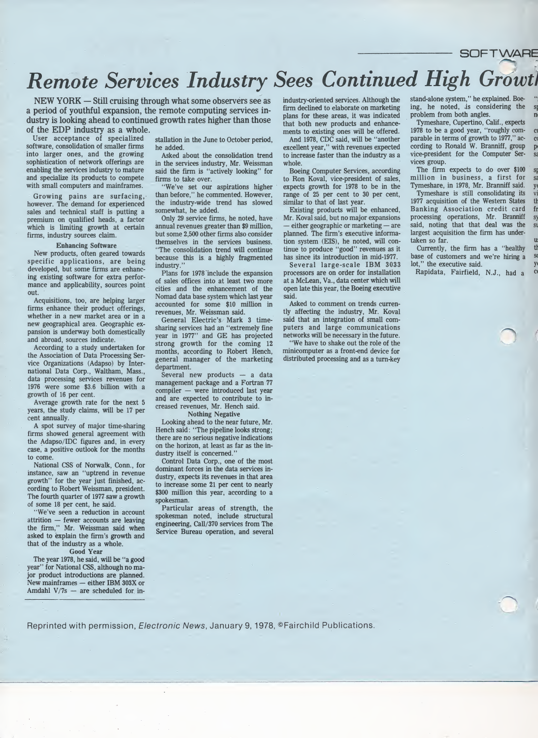# $\begin{array}{lll} \textbf{time} & \textbf{SOFT W} \textbf{AHE} \\ \textbf{time} & \textbf{time} \\ \textbf{time} & \textbf{time} \\ \textbf{time} & \textbf{time} \\ \textbf{time} & \textbf{time} \\ \textbf{time} & \textbf{time} \\ \textbf{time} & \textbf{time} \\ \textbf{time} & \textbf{time} \\ \textbf{time} & \textbf{time} \\ \textbf{time} & \textbf{time} \\ \textbf{time} & \textbf{time} \\ \textbf{time} & \textbf{time} \\ \textbf{time} & \textbf{time} \\ \textbf{time} & \textbf{time} \\ \textbf{time} &$ Remote Services Industry Sees Continued High Growti

NEW YORK — Still cruising through what some observers see as a period of youthful expansion, the remote computing services industry is looking ahead to continued growth rates higher than those of the EDP industry as a whole.

User acceptance of specialized software, consolidation of smaller firms into larger ones, and the growing sophistication of network offerings are enabling the services industry to mature and specialize its products to compete with small computers and mainframes.

Growing pains are surfacing, however. The demand for experienced sales and technical staff is putting a premium on qualified heads, a factor which is limiting growth at certain firms, industry sources claim.

### Enhancing Software

New products, often geared towards specific applications, are being developed, but some firms are enhancing existing software for extra performance and applicability, sources point out.

Acquisitions, too, are helping larger firms enhance their product offerings, whether in a new market area or in a new geographical area. Geographic expansion is underway both domestically and abroad, sources indicate.

According to a study undertaken for the Association of Data Processing Service Organizations (Adapso) by International Data Corp., Waltham, Mass., data processing services revenues for 1976 were some \$3.6 billion with a growth of 16 per cent.

Average growth rate for the next 5 years, the study claims, will be 17 per cent annually.

A spot survey of major time-sharing firms showed general agreement with the Adapso/IDC figures and, in every case, a positive outlook for the months to come.

National CSS of Norwalk, Conn., for instance, saw an "uptrend in revenue growth" for the year just finished, according to Robert Weissman, president. The fourth quarter of 1977 saw a growth of some 18 per cent, he said.

"We've seen a reduction in account attrition — fewer accounts are leaving the firm," Mr. Weissman said when asked to explain the firm's growth and that of the industry as a whole.

Good Year

The year 1978, he said, will be "a good year" for National CSS, although no major product introductions are planned. New mainframes — either IBM 303X or Amdahl  $V/7s$  — are scheduled for installation in the June to October period, he added.

Asked about the consolidation trend in the services industry, Mr. Weissman said the firm is "actively looking" for firms to take over.

"We've set our aspirations higher than before," he commented. However, the industry-wide trend has slowed somewhat, he added.

Only 29 service firms, he noted, have annual revenues greater than \$9 million, but some 2,500 other firms also consider themselves in the services business. "The consolidation trend will continue because this is a highly fragmented industry.

Plans for 1978 include the expansion of sales offices into at least two more cities and the enhancement of the Nomad data base system which last year accounted for some \$10 million in revenues, Mr. Weissman said.

General Electric's Mark 3 timesharing services had an "extremely fine year in 1977" and GE has projected strong growth for the coming 12 months, according to Robert Hench, general manager of the marketing department.

Several new products — a data management package and a Fortran 77 compiler — were introduced last year and are expected to contribute to increased revenues, Mr. Hench said.

Nothing Negative

Looking ahead to the near future, Mr. Hench said: "The pipeline looks strong; there are no serious negative indications on the horizon, at least as far as the industry itself is concerned.'

Control Data Corp., one of the most dominant forces in the data services industry, expects its revenues in that area to increase some 21 per cent to nearly \$300 million this year, according to a spokesman.

Particular areas of strength, the spokesman noted, include structural engineering, Call/370 services from The Service Bureau operation, and several industry-oriented services. Although the firm declined to elaborate on marketing plans for these areas, it was indicated that both new products and enhancements to existing ones will be offered.

And 1978, CDC said, will be "another excellent year," with revenues expected to increase faster than the industry as a whole.

Boeing Computer Services, according to Ron Koval, vice-president of sales, expects growth for 1978 to be in the range of 25 per cent to 30 per cent, similar to that of last year.

Existing products will be enhanced, Mr. Koval said, but no major expansions — either geographic or marketing — are planned. The firm's executive information system (EIS), he noted, will con tinue to produce "good" revenues as it has since its introduction in mid-1977.

Several large-scale IBM 3033 processors are on order for installation at a McLean, Va., data center which will open late this year, the Boeing executive said.

Asked to comment on trends currently affecting the industry, Mr. Koval said that an integration of small computers and large communications networks will be necessary in the future.

"We have to shake out the role of the minicomputer as a front-end device for distributed processing and as a turn-key

stand-alone system," he explained. Boeing, he noted, is considering the problem from both angles.

Tymeshare, Cupertino, Calif., expects  $1978$  to be a good year, "roughly comparable in terms of growth to 1977," according to Ronald W. Branniff, group vice-president for the Computer Services group.

The firm expects to do over  $$100$ million in business, a first for Tymeshare, in 1978, Mr. Branniff said.

Tymeshare is still consolidating its 1977 acquisition of the Western States Banking Association credit card processing operations, Mr. Branniff said, noting that that deal was the largest acquisition the firm has undertaken so far.

Currently, the firm has a "healthy base of customers and we're hiring a lot," the executive said.

Rapidata, Fairfield, N.J., had a <sup>c</sup>

Reprinted with permission, Electronic News, January 9, 1978, ©Fairchild Publications.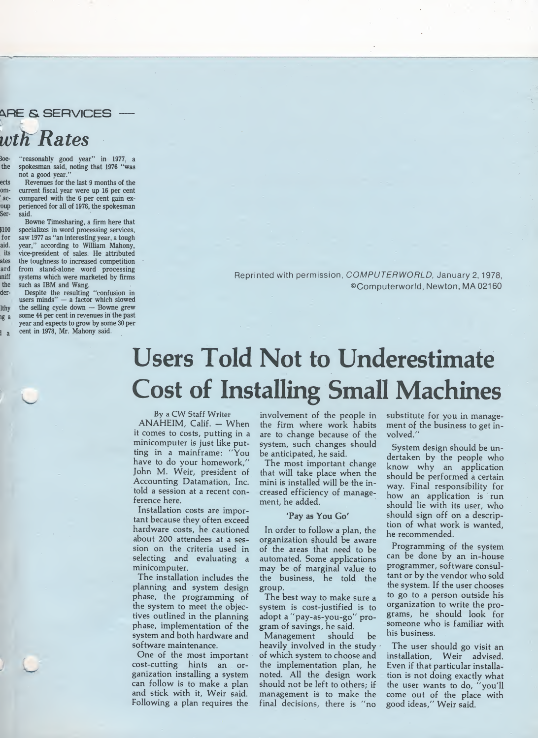^RE & SERVICES wth Rates

loe- "reasonably good year" in 1977, a the spokesman said, noting that 1976 "was not a good year."

ects Revenues for the last 9 months of the om- current fiscal year were up 16 per cent ' ac- compared with the 6 per cent gain exoup perienced for all of 1976, the spokesman<br>Ser- said. said.

Bowne Timesharing, a firm here that \$100 specializes in word processing services, for saw 1977 as "an interesting year, a tough aid. year," according to William Mahony, vice-president of sales. He attributed ates the toughness to increased competition ard from stand-alone word processing miff systems which were marketed by firms the such as IBM and Wang,

der- Despite the resulting "confusion in users minds" — a factor which slowed lthy the selling cycle down — Bowne grew g a some 44 per cent in revenues in the past year and expects to grow by some 30 per <sub>d a</sub> cent in 1978, Mr. Mahony said.

Reprinted with permission, COMPUTERWORLD, January 2,1978, ©Computerworld, Newton, MA 02160

# Users Told Not to Underestimate Cost of Installing Small Machines

By a CW Staff Writer

 $ANAHEIM$ , Calif.  $-$  When it comes to costs, putting in a minicomputer is just like putting in a mainframe: "You have to do your homework," John M. Weir, president of Accounting Datamation, Inc. told a session at a recent conference here.

Installation costs are important because they often exceed hardware costs, he cautioned about 200 attendees at a session on the criteria used in selecting and evaluating a minicomputer.

The installation includes the planning and system design phase, the programming of the system to meet the objectives outlined in the planning phase, implementation of the system and both hardware and software maintenance.

One of the most important cost-cutting hints an organization installing a system can follow is to make a plan and stick with it, Weir said. Following a plan requires the

involvement of the people in the firm where work habits are to change because of the system, such changes should be anticipated, he said.

The most important change that will take place when the mini is installed will be the in creased efficiency of management, he added.

# 'Pay as You Go'

In order to follow a plan, the organization should be aware of the areas that need to be automated. Some applications may be of marginal value to the business, he told the group.

The best way to make sure a system is cost-justified is to adopt a "pay-as-you-go" pro gram of savings, he said.

Management should be heavily involved in the study  $\cdot$ of which system to choose and the implementation plan, he noted. All the design work should not be left to others; if management is to make the final decisions, there is "no

substitute for you in management of the business to get involved."

System design should be un dertaken by the people who know why an application should be performed a certain way. Final responsibility for how an application is run should lie with its user, who should sign off on a description of what work is wanted, he recommended.

Programming of the system can be done by an in-house programmer, software consultant or by the vendor who sold the system. If the user chooses to go to a person outside his organization to write the programs, he should look for someone who is familiar with his business.

The user should go visit an installation, Weir advised. Even if that particular installation is not doing exactly what the user wants to do, "you'll come out of the place with good ideas," Weir said.